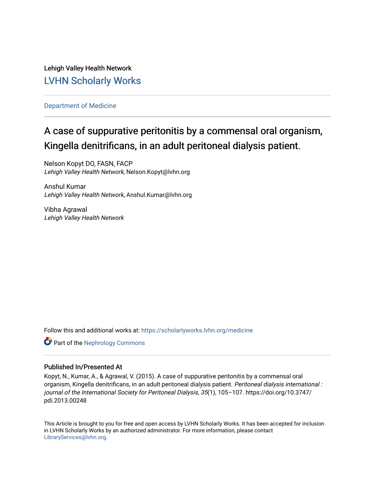Lehigh Valley Health Network [LVHN Scholarly Works](https://scholarlyworks.lvhn.org/)

[Department of Medicine](https://scholarlyworks.lvhn.org/medicine) 

# A case of suppurative peritonitis by a commensal oral organism, Kingella denitrificans, in an adult peritoneal dialysis patient.

Nelson Kopyt DO, FASN, FACP Lehigh Valley Health Network, Nelson.Kopyt@lvhn.org

Anshul Kumar Lehigh Valley Health Network, Anshul.Kumar@lvhn.org

Vibha Agrawal Lehigh Valley Health Network

Follow this and additional works at: [https://scholarlyworks.lvhn.org/medicine](https://scholarlyworks.lvhn.org/medicine?utm_source=scholarlyworks.lvhn.org%2Fmedicine%2F1849&utm_medium=PDF&utm_campaign=PDFCoverPages) 

**C** Part of the Nephrology Commons

### Published In/Presented At

Kopyt, N., Kumar, A., & Agrawal, V. (2015). A case of suppurative peritonitis by a commensal oral organism, Kingella denitrificans, in an adult peritoneal dialysis patient. Peritoneal dialysis international : journal of the International Society for Peritoneal Dialysis, 35(1), 105–107. https://doi.org/10.3747/ pdi.2013.00248

This Article is brought to you for free and open access by LVHN Scholarly Works. It has been accepted for inclusion in LVHN Scholarly Works by an authorized administrator. For more information, please contact [LibraryServices@lvhn.org](mailto:LibraryServices@lvhn.org).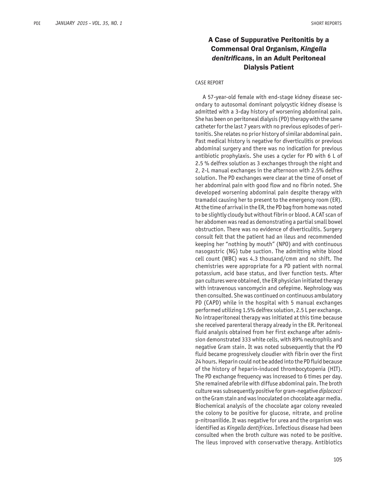## A Case of Suppurative Peritonitis by a Commensal Oral Organism, *Kingella denitrificans*, in an Adult Peritoneal Dialysis Patient

#### CASE REPORT

A 57-year-old female with end-stage kidney disease secondary to autosomal dominant polycystic kidney disease is admitted with a 3-day history of worsening abdominal pain. She has been on peritoneal dialysis (PD) therapy with the same catheter for the last 7 years with no previous episodes of peritonitis. She relates no prior history of similar abdominal pain. Past medical history is negative for diverticulitis or previous abdominal surgery and there was no indication for previous antibiotic prophylaxis. She uses a cycler for PD with 6 L of 2.5 % delfrex solution as 3 exchanges through the night and 2, 2-L manual exchanges in the afternoon with 2.5% delfrex solution. The PD exchanges were clear at the time of onset of her abdominal pain with good flow and no fibrin noted. She developed worsening abdominal pain despite therapy with tramadol causing her to present to the emergency room (ER). At the time of arrival in the ER, the PD bag from home was noted to be slightly cloudy but without fibrin or blood. A CAT scan of her abdomen was read as demonstrating a partial small bowel obstruction. There was no evidence of diverticulitis. Surgery consult felt that the patient had an ileus and recommended keeping her "nothing by mouth" (NPO) and with continuous nasogastric (NG) tube suction. The admitting white blood cell count (WBC) was 4.3 thousand/cmm and no shift. The chemistries were appropriate for a PD patient with normal potassium, acid base status, and liver function tests. After pan cultures were obtained, the ER physician initiated therapy with intravenous vancomycin and cefepime. Nephrology was then consulted. She was continued on continuous ambulatory PD (CAPD) while in the hospital with 5 manual exchanges performed utilizing 1.5% delfrex solution, 2.5 L per exchange. No intraperitoneal therapy was initiated at this time because she received parenteral therapy already in the ER. Peritoneal fluid analysis obtained from her first exchange after admission demonstrated 333 white cells, with 89% neutrophils and negative Gram stain. It was noted subsequently that the PD fluid became progressively cloudier with fibrin over the first 24 hours. Heparin could not be added into the PD fluid because of the history of heparin-induced thrombocytopenia (HIT). The PD exchange frequency was increased to 6 times per day. She remained afebrile with diffuse abdominal pain. The broth culture was subsequently positive for gram-negative *diplococci*  on the Gram stain and was inoculated on chocolate agar media. Biochemical analysis of the chocolate agar colony revealed the colony to be positive for glucose, nitrate, and proline p-nitroanilide. It was negative for urea and the organism was identified as *Kingella dentifrices*. Infectious disease had been consulted when the broth culture was noted to be positive. The ileus improved with conservative therapy. Antibiotics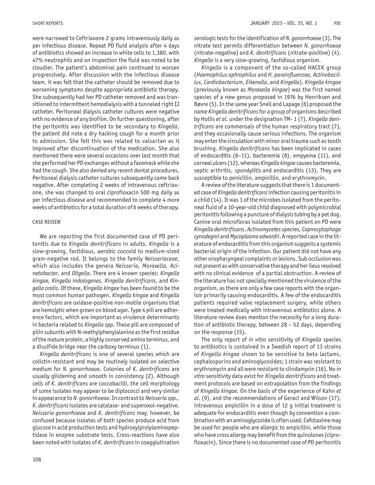were narrowed to Ceftriaxone 2 grams intravenously daily as per infectious disease. Repeat PD fluid analysis after 4 days of antibiotics showed an increase in white cells to 1,380, with 47% neutrophils and on inspection the fluid was noted to be cloudier. The patient's abdominal pain continued to worsen progressively. After discussion with the infectious disease team, it was felt that the catheter should be removed due to worsening symptoms despite appropriate antibiotic therapy. She subsequently had her PD catheter removed and was transitioned to intermittent hemodialysis with a tunneled right IJ catheter. Peritoneal dialysis catheter cultures were negative with no evidence of any biofilm. On further questioning, after the peritonitis was identified to be secondary to *Kingella*, the patient did note a dry hacking cough for a month prior to admission. She felt this was related to valsartan as it improved after discontinuation of the medication. She also mentioned there were several occasions over last month that she performed her PD exchanges without a facemask while she had the cough. She also denied any recent dental procedures. Peritoneal dialysis catheter cultures subsequently came back negative. After completing 2 weeks of intravenous ceftriaxone, she was changed to oral ciprofloxacin 500 mg daily as per infectious disease and recommended to complete 4 more weeks of antibiotics for a total duration of 6 weeks of therapy.

#### CASE REVIEW

We are reporting the first documented case of PD peritonitis due to *Kingella denitrificans* in adults. *Kingella* is a slow-growing, fastidious, aerobic coccoid to medium-sized gram-negative rod. It belongs to the family *Neisseriaceae*, which also includes the genera *Neisseria, Moraxella, Acinetobacter*, and *Oligella*. There are 4 known species: *Kingella kingae, Kingella indologenes, Kingella denitrificans*, and *Kingella oralis*. Of these, *Kingella kingae* has been found to be the most common human pathogen. *Kingella kingae* and *Kingella denitrificans* are oxidase-positive non-motile organisms that are hemolytic when grown on blood agar. Type 4 pili are adherence factors, which are important as virulence determinants in bacteria related to *Kingella spp*. These pili are composed of pilin subunits with N-methylphenylalanine as the first residue of the mature protein, a highly conserved amino terminus, and a disulfide bridge near the carboxy terminus (1).

*Kingella denitrificans* is one of several species which are colistin-resistant and may be routinely isolated on selective medium for *N. gonorrhoeae*. Colonies of *K. denitrificans* are usually glistening and smooth in consistency (2). Although cells of *K. denitrificans* are coccobacilli, the cell morphology of some isolates may appear to be diplococci and very similar in appearance to *N. gonorrhoeae*. In contrast to *Neisseria spp., K. denitrificans* isolates are catalase- and superoxol-negative. *Neisseria gonorrhoeae* and *K. denitrificans* may, however, be confused because isolates of both species produce acid from glucose in acid production tests and hydroxylprolylaminopeptidase in enzyme substrate tests. Cross-reactions have also been noted with isolates of *K. denitrificans* in coagglutination

serologic tests for the identification of *N. gonorrhoeae* (3). The nitrate test permits differentiation between *N. gonorrhoeae* (nitrate-negative) and *K. denitrificans* (nitrate-positive) (4). *Kingella* is a very slow-growing, fastidious organism.

*Kingella* is a component of the so-called HACEK group (*Haemophilus aphrophilus* and *H. parainfluenzae, Actinobacillus, Cardiobacterium, Eikenella*, and *Kingella*). *Kingella kingae* (previously known as *Moraxella kingae*) was the first named species of a new genus proposed in 1976 by Henriksen and Bøvre (5). In the same year Snell and Lapage (6) proposed the name *Kingella denitrificans* for a group of organisms described by Hollis *et al.* under the designation TM- 1 (7). *Kingella denitrificans* are commensals of the human respiratory tract (7), and they occasionally cause serious infections. The organism may enter the circulation with minor oral trauma such as tooth brushing. *Kingella denitrificans* has been implicated in cases of endocarditis (8–11), bacteremia (8), empyema (11), and corneal ulcers (12), whereas *Kingella kingae* causes bacteremia, septic arthritis, spondylitis and endocarditis (13). They are susceptible to penicillin, ampicillin, and erythromycin.

A review of the literature suggests that there is 1 documented case of *Kingella denitrificans* infection causing peritonitis in a child (14). It was 1 of the microbes isolated from the peritoneal fluid of a 10-year-old child diagnosed with polymicrobial peritonitis following a puncture of dialysis tubing by a pet dog. Canine oral microfloras isolated from this patient on PD were *Kingella denitrificans*, *Actinomycetes* species*, Capnocytophaga cynodegmi* and *Mycoplasma edwardii*. A reported case in the literature of endocarditis from this organism suggests a systemic bacterial origin of the infection. Our patient did not have any other oropharyngeal complaints or lesions. Sub occlusion was not present as with conservative therapy and her ileus resolved with no clinical evidence of a partial obstruction. A review of the literature has not specially mentioned the virulence of the organism, as there are only a few case reports with the organism primarily causing endocarditis. A few of the endocarditis patients required valve replacement surgery, while others were treated medically with intravenous antibiotics alone. A literature review does mention the necessity for a long duration of antibiotic therapy, between 28 – 52 days, depending on the response (15).

The only report of *in vitro* sensitivity of *Kingella* species to antibiotics is contained in a Swedish report of 13 strains of *Kingella kingae* shown to be sensitive to beta lactams, cephalosporins and aminoglycosides; 1 strain was resistant to erythromycin and all were resistant to clindamycin (16). No *in vitro* sensitivity data exist for *Kingella denitrificans* and treatment protocols are based on extrapolation from the findings of *Kingella kingae*. On the basis of the experience of Kahn *et al*. (9), and the recommendations of Geraci and Wilson (17), intravenous ampicillin in a dose of 12 g initial treatment is adequate for endocarditis even though by convention a combination with an aminoglycoside is often used. Cefotaxime may be used for people who are allergic to ampicillin, while those who have cross allergy may benefit from the quinolones (ciprofloxacin). Since there is no documented case of PD peritonitis